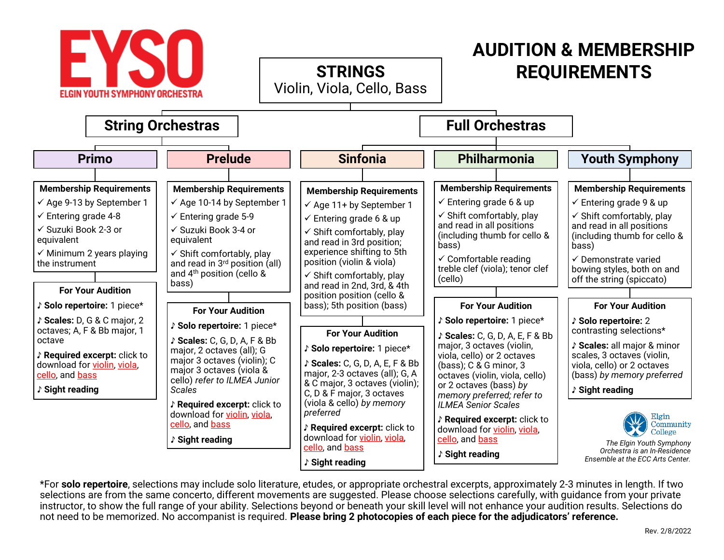

\*For **solo repertoire**, selections may include solo literature, etudes, or appropriate orchestral excerpts, approximately 2-3 minutes in length. If two selections are from the same concerto, different movements are suggested. Please choose selections carefully, with guidance from your private instructor, to show the full range of your ability. Selections beyond or beneath your skill level will not enhance your audition results. Selections do not need to be memorized. No accompanist is required. **Please bring 2 photocopies of each piece for the adjudicators' reference.**